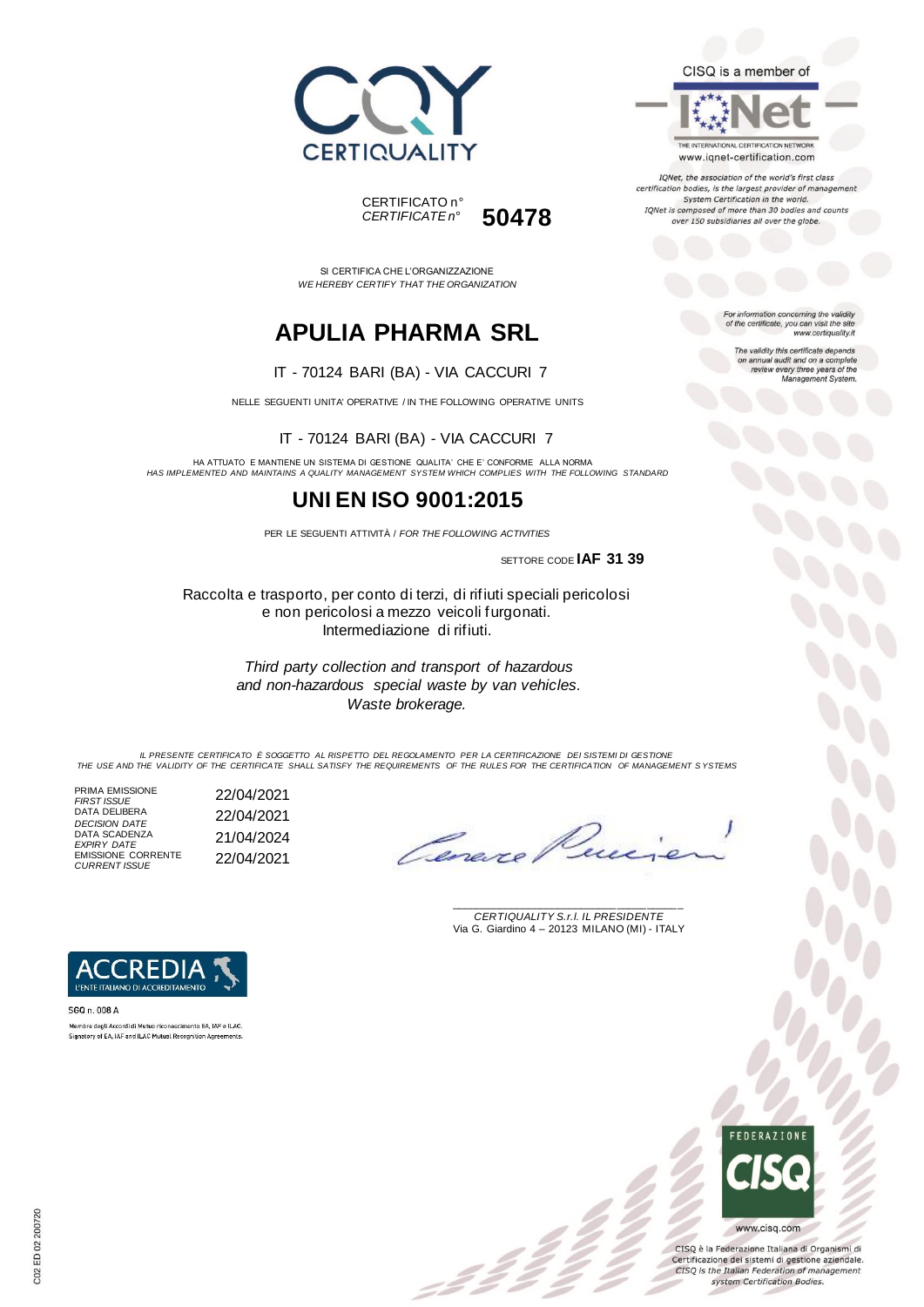



SI CERTIFICA CHE L'ORGANIZZAZIONE *WE HEREBY CERTIFY THAT THE ORGANIZATION*

# **APULIA PHARMA SRL**

#### IT - 70124 BARI (BA) - VIA CACCURI 7

NELLE SEGUENTI UNITA' OPERATIVE / IN THE FOLLOWING OPERATIVE UNITS

IT - 70124 BARI (BA) - VIA CACCURI 7

HA ATTUATO E MANTIENE UN SISTEMA DI GESTIONE QUALITA' CHE E' CONFORME ALLA NORMA *HAS IMPLEMENTED AND MAINTAINS A QUALITY MANAGEMENT SYSTEM WHICH COMPLIES WITH THE FOLLOWING STANDARD*

## **UNI EN ISO 9001:2015**

PER LE SEGUENTI ATTIVITÀ / *FOR THE FOLLOWING ACTIVITIES*

SETTORE CODE **IAF 31 39**

Raccolta e trasporto, per conto di terzi, di rifiuti speciali pericolosi e non pericolosi a mezzo veicoli furgonati. Intermediazione di rifiuti.

> *Third party collection and transport of hazardous and non-hazardous special waste by van vehicles. Waste brokerage.*

*IL PRESENTE CERTIFICATO È SOGGETTO AL RISPETTO DEL REGOLAMENTO PER LA CERTIFICAZIONE DEI SISTEMI DI GESTIONE THE USE AND THE VALIDITY OF THE CERTIFICATE SHALL SATISFY THE REQUIREMENTS OF THE RULES FOR THE CERTIFICATION OF MANAGEMENT S YSTEMS*

 $\mathcal{L}$ 

PRIMA EMISSIONE *FIRST ISSUE* 22/04/2021 DATA DELIBERA DATA DELIBERA<br>*DECISION DATE* 22/04/2021 DATA SCADENZA *EXPIRY DATE* 21/04/2024 EMISSIONE CORRENTE *CURRENT ISSUE* 22/04/2021

Ceneve

\_\_\_\_\_\_\_\_\_\_\_\_\_\_\_\_\_\_\_\_\_\_\_\_\_\_\_\_\_\_\_\_\_\_\_\_\_\_\_ *CERTIQUALITY S.r.l. IL PRESIDENTE* Via G. Giardino 4 – 20123 MILANO (MI) - ITALY



SGQ n. 008 A Membro degli Accordi di Mutuo riconoscimento EA, IAF e ILAC. Signatory of EA, IAF and ILAC Mutual Recognition Agreements

> **FFDFRATIONE** www.cisq.com

CISQ è la Federazione Italiana di Organismi di Certificazione dei sistemi di gestione aziendale. CISQ is the Italian Federation of management system Certification Bodies.

THE INTERNATIONAL CERTIFICATION NETWORK

CISQ is a member of

www.iqnet-certification.com

IQNet, the association of the world's first class certification bodies, is the largest provider of manageme System Certification in the world. IQNet is composed of more than 30 bodies and counts over 150 subsidiaries all over the globe.

> For information concerning the validity<br>of the certificate, you can visit the site www.certiquality.it

> > The validity this certificate depends on annual audit and on a complete<br>review every three years of the<br>Management System.